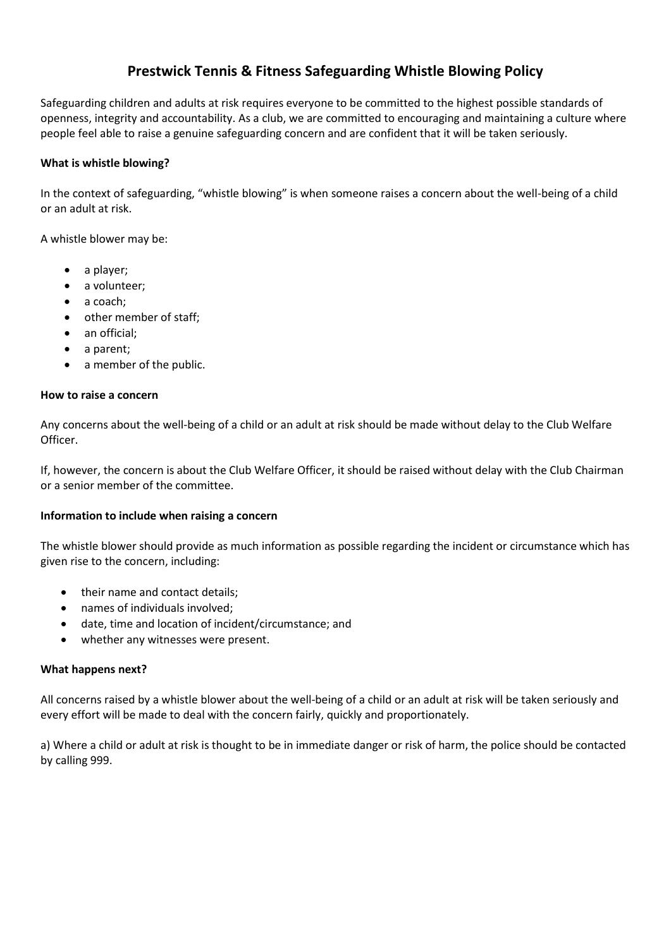# **Prestwick Tennis & Fitness Safeguarding Whistle Blowing Policy**

Safeguarding children and adults at risk requires everyone to be committed to the highest possible standards of openness, integrity and accountability. As a club, we are committed to encouraging and maintaining a culture where people feel able to raise a genuine safeguarding concern and are confident that it will be taken seriously.

### **What is whistle blowing?**

In the context of safeguarding, "whistle blowing" is when someone raises a concern about the well-being of a child or an adult at risk.

A whistle blower may be:

- a player;
- a volunteer;
- a coach;
- other member of staff;
- an official:
- a parent;
- a member of the public.

#### **How to raise a concern**

Any concerns about the well-being of a child or an adult at risk should be made without delay to the Club Welfare Officer.

If, however, the concern is about the Club Welfare Officer, it should be raised without delay with the Club Chairman or a senior member of the committee.

#### **Information to include when raising a concern**

The whistle blower should provide as much information as possible regarding the incident or circumstance which has given rise to the concern, including:

- their name and contact details;
- names of individuals involved;
- date, time and location of incident/circumstance; and
- whether any witnesses were present.

#### **What happens next?**

All concerns raised by a whistle blower about the well-being of a child or an adult at risk will be taken seriously and every effort will be made to deal with the concern fairly, quickly and proportionately.

a) Where a child or adult at risk is thought to be in immediate danger or risk of harm, the police should be contacted by calling 999.